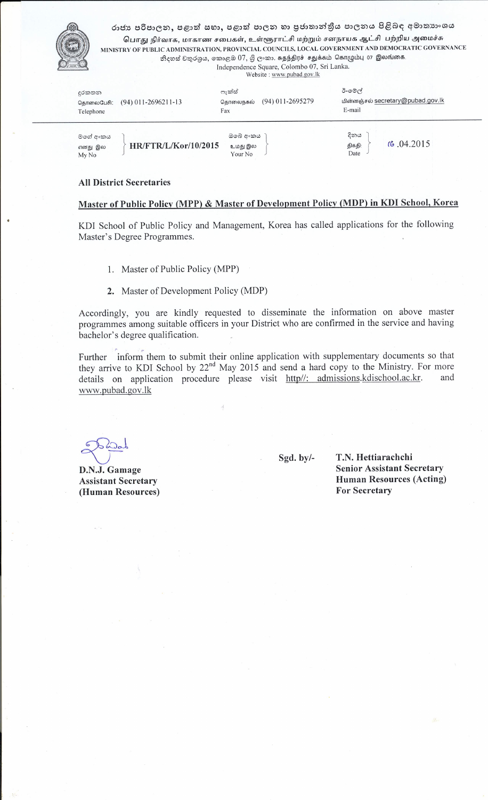

රාජා පරිපාලන, පළාත් සභා, පළාත් පාලන හා පුජාතාන්තුීය පාලනය පිළිබඳ අමාතාහංශය பொது நிர்வாக, மாகாண சபைகள், உள்ளூராட்சி மற்றும் சனநாயக ஆட்சி பற்றிய அமைச்சு MINISTRY OF PUBLIC ADMINISTRATION, PROVINCIAL COUNCILS, LOCAL GOVERNMENT AND DEMOCRATIC GOVERNANCE නිදහස් චතුරශුය, කොළඔ  $07$ , ශූි ලංකා. சுதந்திரச் சதுக்கம் கொழும்பு 07 இலங்கை.

Independence Square, Colombo 07, Sri Lanka. Website: www.pubad.gov.lk

| දුරකතන<br>கொலைபேசி:<br>Telephone | $(94)$ 011-2696211-13       | ෆැක්ස්<br>தொலைநகல்<br>Fax      | $(94)$ 011-2695279 | ඊ-මේල්<br>E-mail       | மின்னஞ்சல் secretary@pubad.gov.lk |  |
|----------------------------------|-----------------------------|--------------------------------|--------------------|------------------------|-----------------------------------|--|
| මගේ අංකය<br>எனது இல<br>My No     | <b>HR/FTR/L/Kor/10/2015</b> | ඔබේ අංකය<br>உமது இல<br>Your No |                    | දිනය<br>திகதி:<br>Date | 6.04.2015                         |  |

#### **All District Secretaries**

## Master of Public Policy (MPP) & Master of Development Policy (MDP) in KDI School, Korea

KDI School of Public Policy and Management, Korea has called applications for the following Master's Degree Programmes.

- 1. Master of Public Policy (MPP)
- 2. Master of Development Policy (MDP)

Accordingly, you are kindly requested to disseminate the information on above master programmes among suitable officers in your District who are confirmed in the service and having bachelor's degree qualification.

Further inform them to submit their online application with supplementary documents so that they arrive to KDI School by 22<sup>nd</sup> May 2015 and send a hard copy to the Ministry. For more details on application procedure please visit http//: admissions.kdischool.ac.kr. and www.pubad.gov.lk

D.N.J. Gamage **Assistant Secretary** (Human Resources) Sgd. by/-

T.N. Hettiarachchi **Senior Assistant Secretary Human Resources (Acting) For Secretary**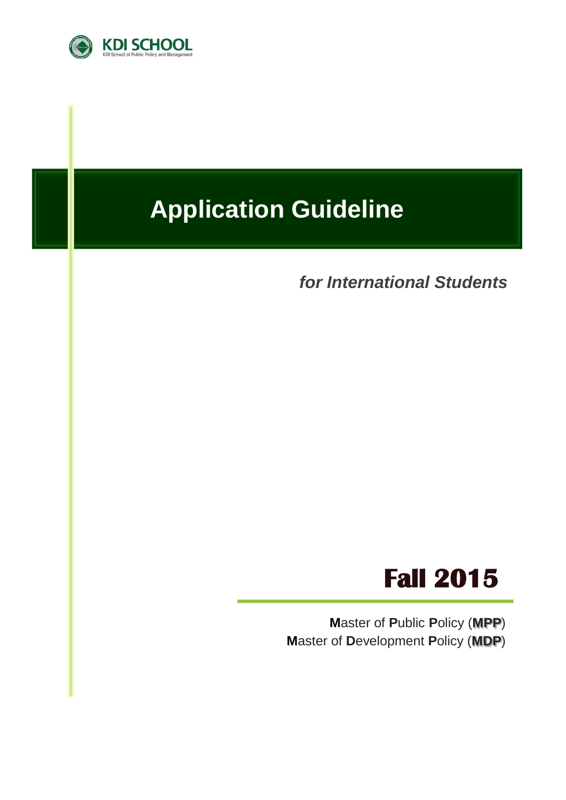

# **Application Guideline**

*for International Students*



**M**aster of **P**ublic **P**olicy (**MPP**) **M**aster of **D**evelopment **P**olicy (**MDP**)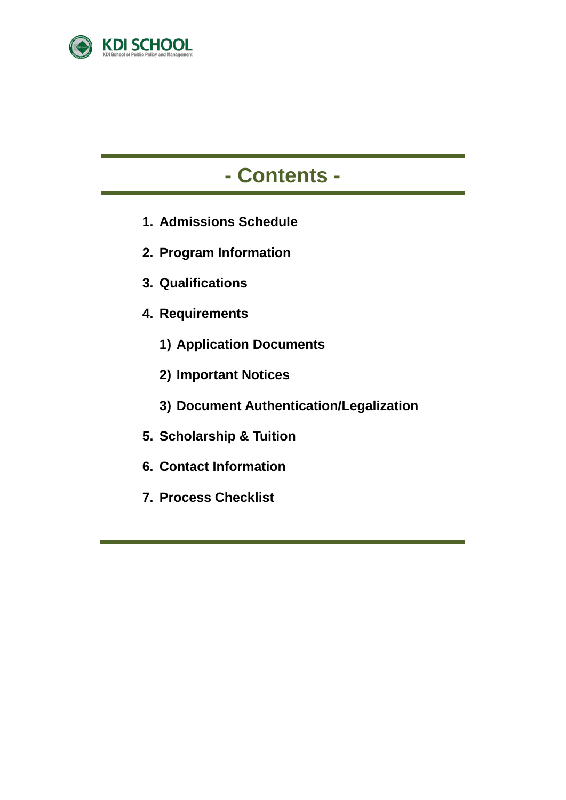

# **- Contents -**

- **1. Admissions Schedule**
- **2. Program Information**
- **3. Qualifications**
- **4. Requirements**
	- **1) Application Documents**
	- **2) Important Notices**
	- **3) Document Authentication/Legalization**
- **5. Scholarship & Tuition**
- **6. Contact Information**
- **7. Process Checklist**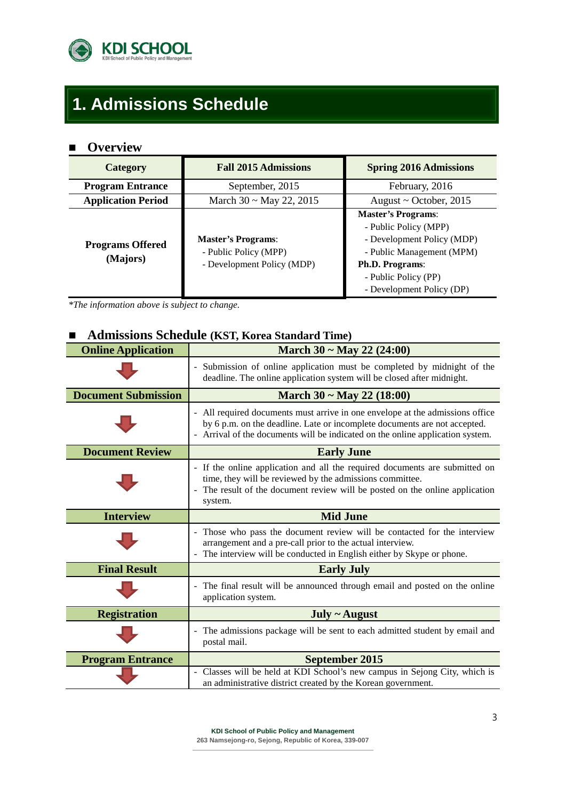

# **1. Admissions Schedule**

## **Overview**

| Category                            | <b>Fall 2015 Admissions</b>                                                      | <b>Spring 2016 Admissions</b>                                                                                                                                                                |  |
|-------------------------------------|----------------------------------------------------------------------------------|----------------------------------------------------------------------------------------------------------------------------------------------------------------------------------------------|--|
| <b>Program Entrance</b>             | September, 2015                                                                  | February, 2016                                                                                                                                                                               |  |
| <b>Application Period</b>           | March $30 \sim$ May 22, 2015                                                     | August $\sim$ October, 2015                                                                                                                                                                  |  |
| <b>Programs Offered</b><br>(Majors) | <b>Master's Programs:</b><br>- Public Policy (MPP)<br>- Development Policy (MDP) | <b>Master's Programs:</b><br>- Public Policy (MPP)<br>- Development Policy (MDP)<br>- Public Management (MPM)<br><b>Ph.D. Programs:</b><br>- Public Policy (PP)<br>- Development Policy (DP) |  |

*\*The information above is subject to change.*

## **Admissions Schedule (KST, Korea Standard Time)**

| <b>Online Application</b>  | March $30 \sim$ May 22 (24:00)                                                                                                                                                                                                                     |  |  |
|----------------------------|----------------------------------------------------------------------------------------------------------------------------------------------------------------------------------------------------------------------------------------------------|--|--|
|                            | - Submission of online application must be completed by midnight of the<br>deadline. The online application system will be closed after midnight.                                                                                                  |  |  |
| <b>Document Submission</b> | March $30 \sim$ May 22 (18:00)                                                                                                                                                                                                                     |  |  |
|                            | - All required documents must arrive in one envelope at the admissions office<br>by 6 p.m. on the deadline. Late or incomplete documents are not accepted.<br>Arrival of the documents will be indicated on the online application system.         |  |  |
| <b>Document Review</b>     | <b>Early June</b>                                                                                                                                                                                                                                  |  |  |
|                            | - If the online application and all the required documents are submitted on<br>time, they will be reviewed by the admissions committee.<br>The result of the document review will be posted on the online application<br>$\blacksquare$<br>system. |  |  |
| <b>Interview</b>           | <b>Mid June</b>                                                                                                                                                                                                                                    |  |  |
|                            | - Those who pass the document review will be contacted for the interview<br>arrangement and a pre-call prior to the actual interview.<br>- The interview will be conducted in English either by Skype or phone.                                    |  |  |
| <b>Final Result</b>        | <b>Early July</b>                                                                                                                                                                                                                                  |  |  |
|                            | - The final result will be announced through email and posted on the online<br>application system.                                                                                                                                                 |  |  |
| <b>Registration</b>        | $July ~ \sim$ August                                                                                                                                                                                                                               |  |  |
|                            | The admissions package will be sent to each admitted student by email and<br>-<br>postal mail.                                                                                                                                                     |  |  |
| <b>Program Entrance</b>    | <b>September 2015</b>                                                                                                                                                                                                                              |  |  |
|                            | - Classes will be held at KDI School's new campus in Sejong City, which is<br>an administrative district created by the Korean government.                                                                                                         |  |  |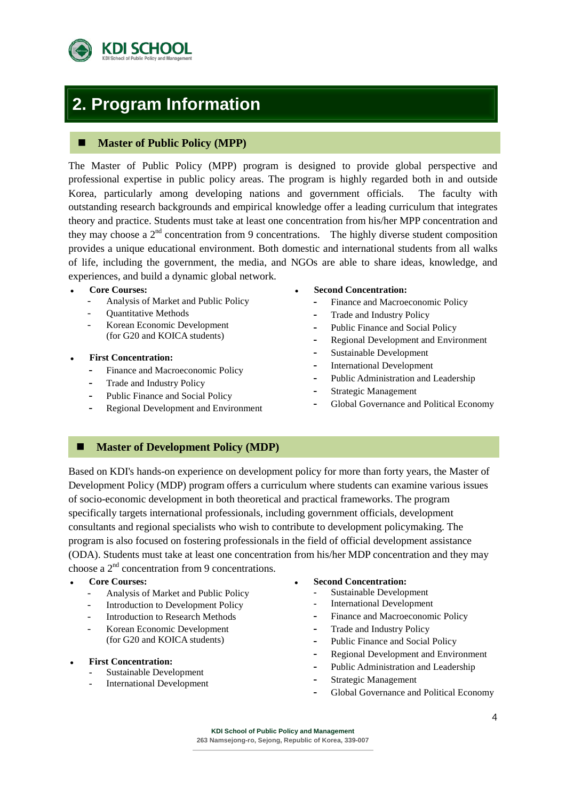

## **2. Program Information**

### **Master of Public Policy (MPP)**

The Master of Public Policy (MPP) program is designed to provide global perspective and professional expertise in public policy areas. The program is highly regarded both in and outside Korea, particularly among developing nations and government officials. The faculty with outstanding research backgrounds and empirical knowledge offer a leading curriculum that integrates theory and practice. Students must take at least one concentration from his/her MPP concentration and they may choose a  $2<sup>nd</sup>$  concentration from 9 concentrations. The highly diverse student composition provides a unique educational environment. Both domestic and international students from all walks of life, including the government, the media, and NGOs are able to share ideas, knowledge, and experiences, and build a dynamic global network.

#### **Core Courses:**

- Analysis of Market and Public Policy
- Quantitative Methods
- Korean Economic Development (for G20 and KOICA students)
- **First Concentration:**
	- **-** Finance and Macroeconomic Policy
	- **-** Trade and Industry Policy
	- **-** Public Finance and Social Policy
	- **-** Regional Development and Environment
- **Second Concentration:**
	- **-** Finance and Macroeconomic Policy
	- **-** Trade and Industry Policy
	- **-** Public Finance and Social Policy
	- **-** Regional Development and Environment
	- **-** Sustainable Development
	- **-** International Development
	- **-** Public Administration and Leadership
	- **-** Strategic Management
	- **-** Global Governance and Political Economy

### **Master of Development Policy (MDP)**

Based on KDI's hands-on experience on development policy for more than forty years, the Master of Development Policy (MDP) program offers a curriculum where students can examine various issues of socio-economic development in both theoretical and practical frameworks. The program specifically targets international professionals, including government officials, development consultants and regional specialists who wish to contribute to development policymaking. The program is also focused on fostering professionals in the field of official development assistance (ODA). Students must take at least one concentration from his/her MDP concentration and they may choose a 2nd concentration from 9 concentrations.

- **Core Courses:**
	- Analysis of Market and Public Policy
	- Introduction to Development Policy
	- Introduction to Research Methods
	- Korean Economic Development (for G20 and KOICA students)
- **First Concentration:**
	- **-** Sustainable Development
	- **-** International Development
- **Second Concentration:**
	- **-** Sustainable Development
	- **-** International Development
	- **-** Finance and Macroeconomic Policy
	- **-** Trade and Industry Policy
	- **-** Public Finance and Social Policy
	- **-** Regional Development and Environment
	- **-** Public Administration and Leadership
	- **-** Strategic Management
	- **-** Global Governance and Political Economy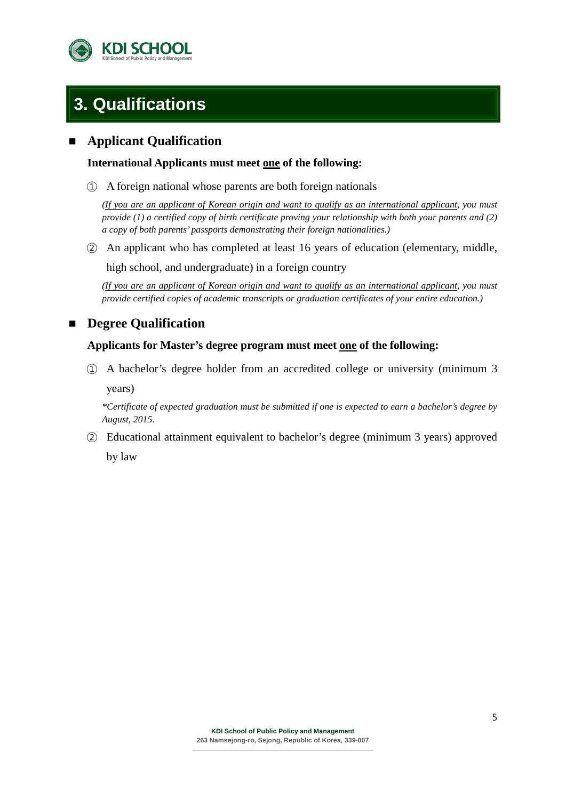

## **3. Qualifications**

## **Applicant Qualification**

### **International Applicants must meet one of the following:**

① A foreign national whose parents are both foreign nationals

*(If you are an applicant of Korean origin and want to qualify as an international applicant, you must provide (1) a certified copy of birth certificate proving your relationship with both your parents and (2) a copy of both parents' passports demonstrating their foreign nationalities.)*

② An applicant who has completed at least 16 years of education (elementary, middle,

high school, and undergraduate) in a foreign country

*(If you are an applicant of Korean origin and want to qualify as an international applicant, you must provide certified copies of academic transcripts or graduation certificates of your entire education.)*

## **Degree Qualification**

### **Applicants for Master's degree program must meet one of the following:**

① A bachelor's degree holder from an accredited college or university (minimum 3 years)

*\*Certificate of expected graduation must be submitted if one is expected to earn a bachelor's degree by August, 2015.*

② Educational attainment equivalent to bachelor's degree (minimum 3 years) approved by law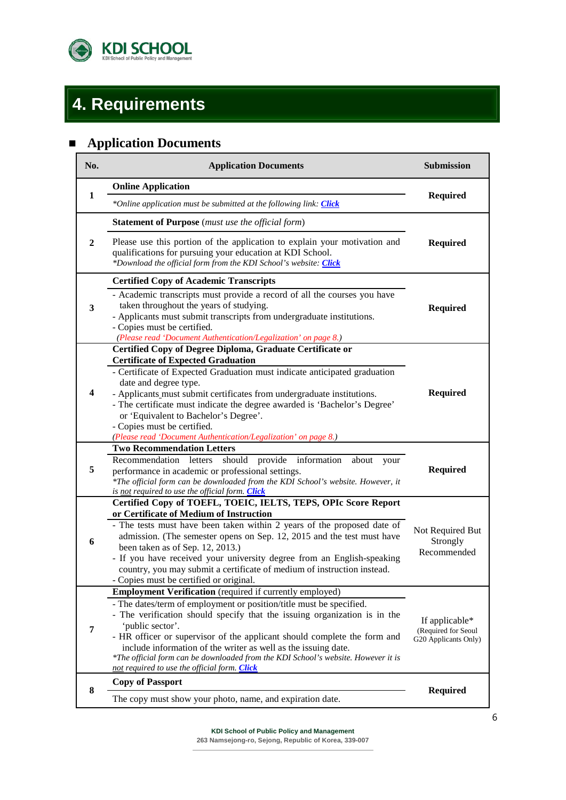

# **4. Requirements**

## **Application Documents**

| No. | <b>Application Documents</b>                                                                                                                                                                                                                                                                                                                                                                                                                            | Submission                                                    |  |
|-----|---------------------------------------------------------------------------------------------------------------------------------------------------------------------------------------------------------------------------------------------------------------------------------------------------------------------------------------------------------------------------------------------------------------------------------------------------------|---------------------------------------------------------------|--|
|     | <b>Online Application</b>                                                                                                                                                                                                                                                                                                                                                                                                                               | <b>Required</b>                                               |  |
| 1   | *Online application must be submitted at the following link: <i>Click</i>                                                                                                                                                                                                                                                                                                                                                                               |                                                               |  |
|     | <b>Statement of Purpose</b> (must use the official form)                                                                                                                                                                                                                                                                                                                                                                                                |                                                               |  |
| 2   | Please use this portion of the application to explain your motivation and<br>qualifications for pursuing your education at KDI School.<br>*Download the official form from the KDI School's website: Click                                                                                                                                                                                                                                              | <b>Required</b>                                               |  |
|     | <b>Certified Copy of Academic Transcripts</b>                                                                                                                                                                                                                                                                                                                                                                                                           |                                                               |  |
| 3   | - Academic transcripts must provide a record of all the courses you have<br>taken throughout the years of studying.<br>- Applicants must submit transcripts from undergraduate institutions.<br>- Copies must be certified.<br>(Please read 'Document Authentication/Legalization' on page 8.)                                                                                                                                                          | <b>Required</b>                                               |  |
|     | Certified Copy of Degree Diploma, Graduate Certificate or                                                                                                                                                                                                                                                                                                                                                                                               |                                                               |  |
| 4   | <b>Certificate of Expected Graduation</b><br>- Certificate of Expected Graduation must indicate anticipated graduation<br>date and degree type.<br>- Applicants must submit certificates from undergraduate institutions.<br>- The certificate must indicate the degree awarded is 'Bachelor's Degree'<br>or 'Equivalent to Bachelor's Degree'.<br>- Copies must be certified.<br>(Please read 'Document Authentication/Legalization' on page 8.)       | <b>Required</b>                                               |  |
|     | <b>Two Recommendation Letters</b>                                                                                                                                                                                                                                                                                                                                                                                                                       |                                                               |  |
| 5   | Recommendation letters should provide information<br>about<br>your<br>performance in academic or professional settings.<br>*The official form can be downloaded from the KDI School's website. However, it<br>is <u>not</u> required to use the official form. Click                                                                                                                                                                                    | <b>Required</b>                                               |  |
|     | Certified Copy of TOEFL, TOEIC, IELTS, TEPS, OPIc Score Report                                                                                                                                                                                                                                                                                                                                                                                          |                                                               |  |
| 6   | or Certificate of Medium of Instruction<br>- The tests must have been taken within 2 years of the proposed date of<br>admission. (The semester opens on Sep. 12, 2015 and the test must have<br>been taken as of Sep. 12, 2013.)<br>- If you have received your university degree from an English-speaking<br>country, you may submit a certificate of medium of instruction instead.<br>- Copies must be certified or original.                        | Not Required But<br>Strongly<br>Recommended                   |  |
|     | <b>Employment Verification</b> (required if currently employed)                                                                                                                                                                                                                                                                                                                                                                                         |                                                               |  |
| 7   | - The dates/term of employment or position/title must be specified.<br>- The verification should specify that the issuing organization is in the<br>'public sector'.<br>- HR officer or supervisor of the applicant should complete the form and<br>include information of the writer as well as the issuing date.<br>*The official form can be downloaded from the KDI School's website. However it is<br>not required to use the official form. Click | If applicable*<br>(Required for Seoul<br>G20 Applicants Only) |  |
| 8   | <b>Copy of Passport</b>                                                                                                                                                                                                                                                                                                                                                                                                                                 |                                                               |  |
|     | The copy must show your photo, name, and expiration date.                                                                                                                                                                                                                                                                                                                                                                                               | <b>Required</b>                                               |  |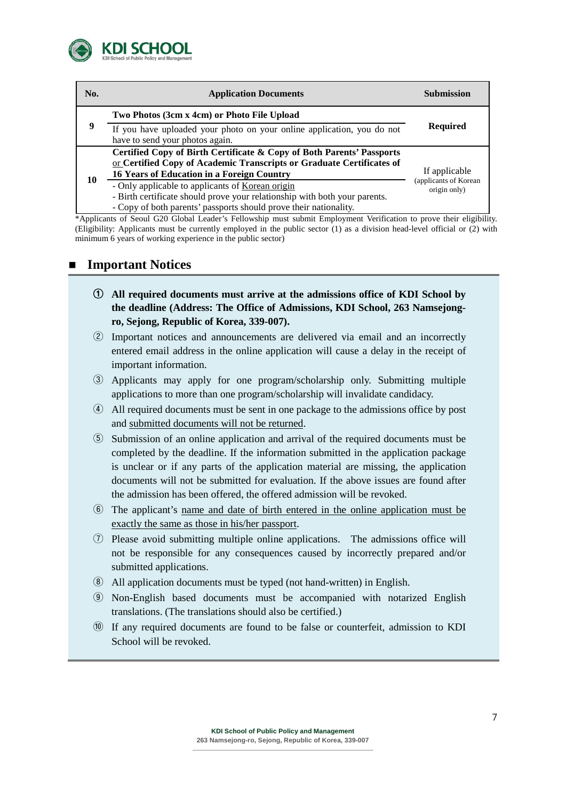

| No. | <b>Application Documents</b>                                                                                                                                                                        | Submission                            |
|-----|-----------------------------------------------------------------------------------------------------------------------------------------------------------------------------------------------------|---------------------------------------|
|     | Two Photos (3cm x 4cm) or Photo File Upload                                                                                                                                                         | <b>Required</b>                       |
| 9   | If you have uploaded your photo on your online application, you do not<br>have to send your photos again.                                                                                           |                                       |
|     | Certified Copy of Birth Certificate & Copy of Both Parents' Passports<br>or Certified Copy of Academic Transcripts or Graduate Certificates of<br>16 Years of Education in a Foreign Country        | If applicable                         |
| 10  | - Only applicable to applicants of Korean origin<br>- Birth certificate should prove your relationship with both your parents.<br>- Copy of both parents' passports should prove their nationality. | (applicants of Korean<br>origin only) |

\*Applicants of Seoul G20 Global Leader's Fellowship must submit Employment Verification to prove their eligibility. (Eligibility: Applicants must be currently employed in the public sector (1) as a division head-level official or (2) with minimum 6 years of working experience in the public sector)

## **Important Notices**

- ① **All required documents must arrive at the admissions office of KDI School by the deadline (Address: The Office of Admissions, KDI School, 263 Namsejongro, Sejong, Republic of Korea, 339-007).**
- ② Important notices and announcements are delivered via email and an incorrectly entered email address in the online application will cause a delay in the receipt of important information.
- ③ Applicants may apply for one program/scholarship only. Submitting multiple applications to more than one program/scholarship will invalidate candidacy.
- ④ All required documents must be sent in one package to the admissions office by post and submitted documents will not be returned.
- ⑤ Submission of an online application and arrival of the required documents must be completed by the deadline. If the information submitted in the application package is unclear or if any parts of the application material are missing, the application documents will not be submitted for evaluation. If the above issues are found after the admission has been offered, the offered admission will be revoked.
- ⑥ The applicant's name and date of birth entered in the online application must be exactly the same as those in his/her passport.
- ⑦ Please avoid submitting multiple online applications. The admissions office will not be responsible for any consequences caused by incorrectly prepared and/or submitted applications.
- ⑧ All application documents must be typed (not hand-written) in English.
- ⑨ Non-English based documents must be accompanied with notarized English translations. (The translations should also be certified.)
- ⑩ If any required documents are found to be false or counterfeit, admission to KDI School will be revoked.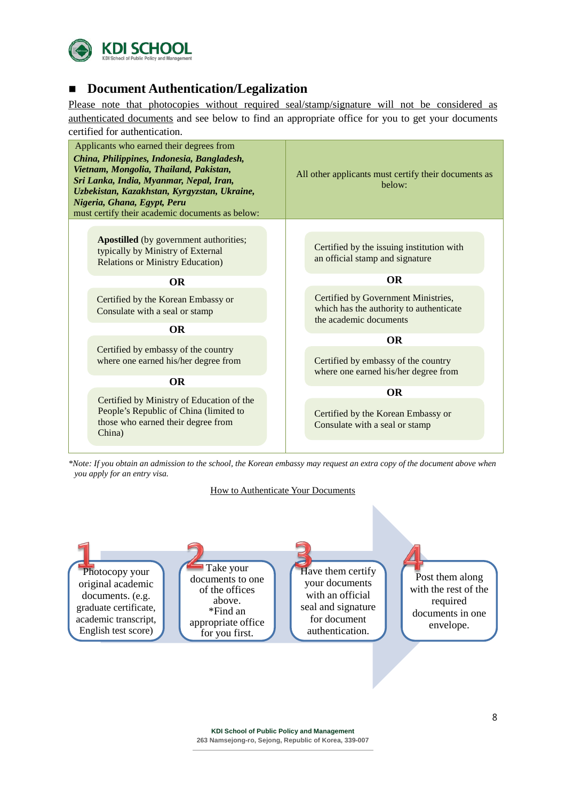

## **Document Authentication/Legalization**

Please note that photocopies without required seal/stamp/signature will not be considered as authenticated documents and see below to find an appropriate office for you to get your documents certified for authentication.

| Applicants who earned their degrees from<br>China, Philippines, Indonesia, Bangladesh,<br>Vietnam, Mongolia, Thailand, Pakistan,<br>Sri Lanka, India, Myanmar, Nepal, Iran,<br>Uzbekistan, Kazakhstan, Kyrgyzstan, Ukraine,<br>Nigeria, Ghana, Egypt, Peru<br>must certify their academic documents as below: | All other applicants must certify their documents as<br>below:                                           |  |  |
|---------------------------------------------------------------------------------------------------------------------------------------------------------------------------------------------------------------------------------------------------------------------------------------------------------------|----------------------------------------------------------------------------------------------------------|--|--|
|                                                                                                                                                                                                                                                                                                               |                                                                                                          |  |  |
| <b>Apostilled</b> (by government authorities;<br>typically by Ministry of External<br><b>Relations or Ministry Education)</b>                                                                                                                                                                                 | Certified by the issuing institution with<br>an official stamp and signature                             |  |  |
| <b>OR</b>                                                                                                                                                                                                                                                                                                     | <b>OR</b>                                                                                                |  |  |
| Certified by the Korean Embassy or<br>Consulate with a seal or stamp                                                                                                                                                                                                                                          | Certified by Government Ministries,<br>which has the authority to authenticate<br>the academic documents |  |  |
| <b>OR</b>                                                                                                                                                                                                                                                                                                     |                                                                                                          |  |  |
|                                                                                                                                                                                                                                                                                                               | <b>OR</b>                                                                                                |  |  |
| Certified by embassy of the country<br>where one earned his/her degree from                                                                                                                                                                                                                                   | Certified by embassy of the country<br>where one earned his/her degree from                              |  |  |
| <b>OR</b>                                                                                                                                                                                                                                                                                                     |                                                                                                          |  |  |
| Certified by Ministry of Education of the                                                                                                                                                                                                                                                                     | <b>OR</b>                                                                                                |  |  |
| People's Republic of China (limited to<br>those who earned their degree from<br>China)                                                                                                                                                                                                                        | Certified by the Korean Embassy or<br>Consulate with a seal or stamp                                     |  |  |
|                                                                                                                                                                                                                                                                                                               |                                                                                                          |  |  |

*\*Note: If you obtain an admission to the school, the Korean embassy may request an extra copy of the document above when you apply for an entry visa.*

#### How to Authenticate Your Documents

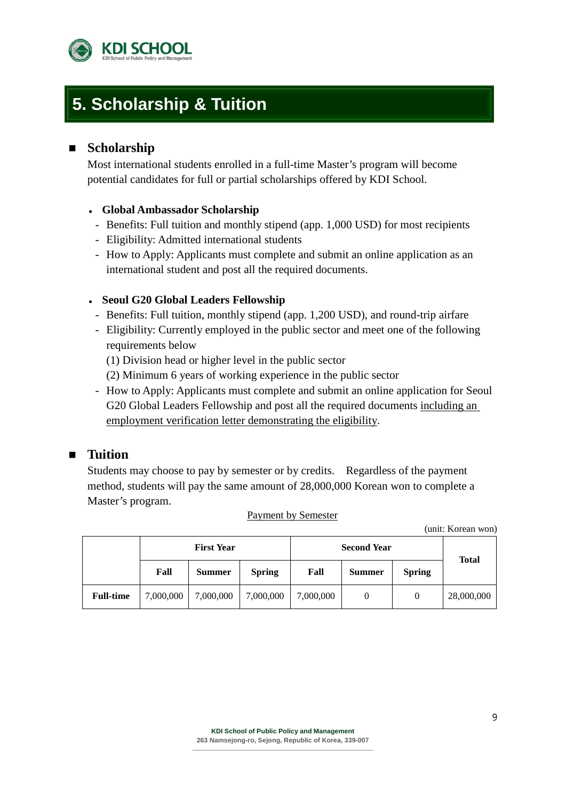

## **5. Scholarship & Tuition**

## **Scholarship**

Most international students enrolled in a full-time Master's program will become potential candidates for full or partial scholarships offered by KDI School.

## **Global Ambassador Scholarship**

- Benefits: Full tuition and monthly stipend (app. 1,000 USD) for most recipients
- Eligibility: Admitted international students
- How to Apply: Applicants must complete and submit an online application as an international student and post all the required documents.

### **Seoul G20 Global Leaders Fellowship**

- Benefits: Full tuition, monthly stipend (app. 1,200 USD), and round-trip airfare
- Eligibility: Currently employed in the public sector and meet one of the following requirements below
	- (1) Division head or higher level in the public sector
	- (2) Minimum 6 years of working experience in the public sector
- How to Apply: Applicants must complete and submit an online application for Seoul G20 Global Leaders Fellowship and post all the required documents including an employment verification letter demonstrating the eligibility.

## **Tuition**

Students may choose to pay by semester or by credits. Regardless of the payment method, students will pay the same amount of 28,000,000 Korean won to complete a Master's program.

|  | Payment by Semester |
|--|---------------------|
|  |                     |

(unit: Korean won)

|                  | <b>First Year</b> |               |               | <b>Second Year</b> | <b>Total</b>  |               |            |
|------------------|-------------------|---------------|---------------|--------------------|---------------|---------------|------------|
|                  | Fall              | <b>Summer</b> | <b>Spring</b> | Fall               | <b>Summer</b> | <b>Spring</b> |            |
| <b>Full-time</b> | 7,000,000         | 7,000,000     | 7,000,000     | 7,000,000          |               | 0             | 28,000,000 |